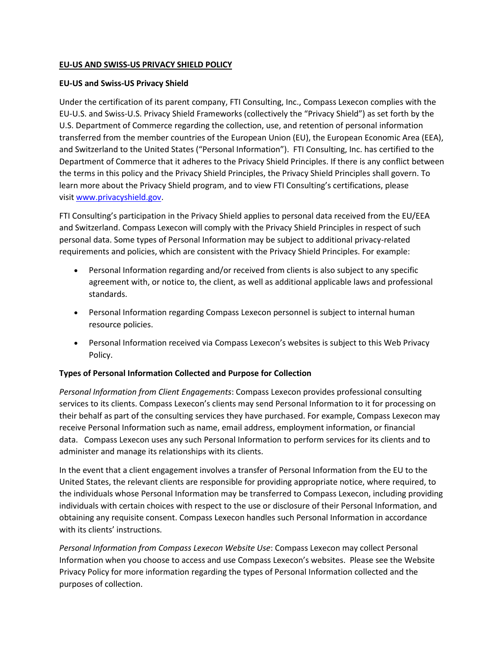## **EU-US AND SWISS-US PRIVACY SHIELD POLICY**

## **EU-US and Swiss-US Privacy Shield**

Under the certification of its parent company, FTI Consulting, Inc., Compass Lexecon complies with the EU-U.S. and Swiss-U.S. Privacy Shield Frameworks (collectively the "Privacy Shield") as set forth by the U.S. Department of Commerce regarding the collection, use, and retention of personal information transferred from the member countries of the European Union (EU), the European Economic Area (EEA), and Switzerland to the United States ("Personal Information"). FTI Consulting, Inc. has certified to the Department of Commerce that it adheres to the Privacy Shield Principles. If there is any conflict between the terms in this policy and the Privacy Shield Principles, the Privacy Shield Principles shall govern. To learn more about the Privacy Shield program, and to view FTI Consulting's certifications, please visit [www.privacyshield.gov.](https://www.privacyshield.gov/)

FTI Consulting's participation in the Privacy Shield applies to personal data received from the EU/EEA and Switzerland. Compass Lexecon will comply with the Privacy Shield Principles in respect of such personal data. Some types of Personal Information may be subject to additional privacy-related requirements and policies, which are consistent with the Privacy Shield Principles. For example:

- Personal Information regarding and/or received from clients is also subject to any specific agreement with, or notice to, the client, as well as additional applicable laws and professional standards.
- Personal Information regarding Compass Lexecon personnel is subject to internal human resource policies.
- Personal Information received via Compass Lexecon's websites is subject to this Web Privacy Policy.

# **Types of Personal Information Collected and Purpose for Collection**

*Personal Information from Client Engagements*: Compass Lexecon provides professional consulting services to its clients. Compass Lexecon's clients may send Personal Information to it for processing on their behalf as part of the consulting services they have purchased. For example, Compass Lexecon may receive Personal Information such as name, email address, employment information, or financial data. Compass Lexecon uses any such Personal Information to perform services for its clients and to administer and manage its relationships with its clients.

In the event that a client engagement involves a transfer of Personal Information from the EU to the United States, the relevant clients are responsible for providing appropriate notice, where required, to the individuals whose Personal Information may be transferred to Compass Lexecon, including providing individuals with certain choices with respect to the use or disclosure of their Personal Information, and obtaining any requisite consent. Compass Lexecon handles such Personal Information in accordance with its clients' instructions.

*Personal Information from Compass Lexecon Website Use*: Compass Lexecon may collect Personal Information when you choose to access and use Compass Lexecon's websites. Please see the Website Privacy Policy for more information regarding the types of Personal Information collected and the purposes of collection.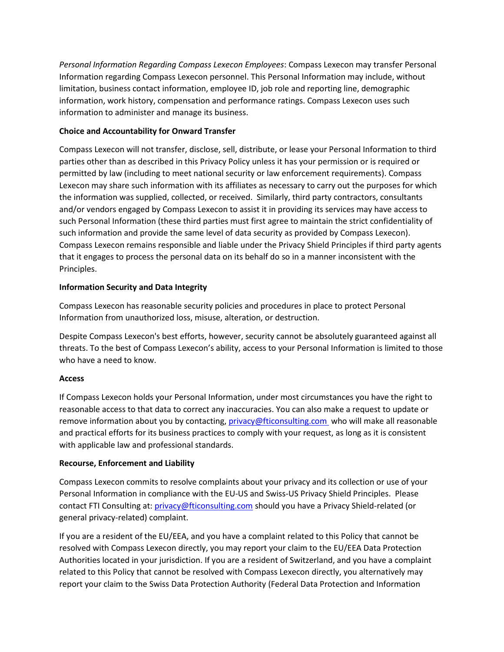*Personal Information Regarding Compass Lexecon Employees*: Compass Lexecon may transfer Personal Information regarding Compass Lexecon personnel. This Personal Information may include, without limitation, business contact information, employee ID, job role and reporting line, demographic information, work history, compensation and performance ratings. Compass Lexecon uses such information to administer and manage its business.

# **Choice and Accountability for Onward Transfer**

Compass Lexecon will not transfer, disclose, sell, distribute, or lease your Personal Information to third parties other than as described in this Privacy Policy unless it has your permission or is required or permitted by law (including to meet national security or law enforcement requirements). Compass Lexecon may share such information with its affiliates as necessary to carry out the purposes for which the information was supplied, collected, or received. Similarly, third party contractors, consultants and/or vendors engaged by Compass Lexecon to assist it in providing its services may have access to such Personal Information (these third parties must first agree to maintain the strict confidentiality of such information and provide the same level of data security as provided by Compass Lexecon). Compass Lexecon remains responsible and liable under the Privacy Shield Principles if third party agents that it engages to process the personal data on its behalf do so in a manner inconsistent with the Principles.

## **Information Security and Data Integrity**

Compass Lexecon has reasonable security policies and procedures in place to protect Personal Information from unauthorized loss, misuse, alteration, or destruction.

Despite Compass Lexecon's best efforts, however, security cannot be absolutely guaranteed against all threats. To the best of Compass Lexecon's ability, access to your Personal Information is limited to those who have a need to know.

### **Access**

If Compass Lexecon holds your Personal Information, under most circumstances you have the right to reasonable access to that data to correct any inaccuracies. You can also make a request to update or remove information about you by contacting, [privacy@fticonsulting.com](mailto:privacy@fticonsulting.com) who will make all reasonable and practical efforts for its business practices to comply with your request, as long as it is consistent with applicable law and professional standards.

### **Recourse, Enforcement and Liability**

Compass Lexecon commits to resolve complaints about your privacy and its collection or use of your Personal Information in compliance with the EU-US and Swiss-US Privacy Shield Principles. Please contact FTI Consulting at: [privacy@fticonsulting.com](mailto:privacy@fticonsulting.com) should you have a Privacy Shield-related (or general privacy-related) complaint.

If you are a resident of the EU/EEA, and you have a complaint related to this Policy that cannot be resolved with Compass Lexecon directly, you may report your claim to the EU/EEA Data Protection Authorities located in your jurisdiction. If you are a resident of Switzerland, and you have a complaint related to this Policy that cannot be resolved with Compass Lexecon directly, you alternatively may report your claim to the Swiss Data Protection Authority (Federal Data Protection and Information